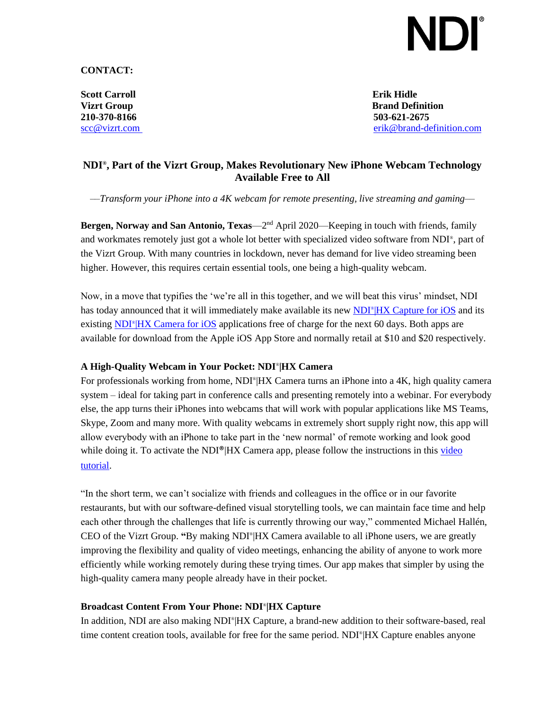# I)I

**CONTACT:**

**Scott Carroll Erik Hidle 210-370-8166 503-621-2675**

**Vizrt Group Brand Definition** [scc@vizrt.com](mailto:scc@vizrt.com) [erik@brand-definition.com](mailto:erik@brand-definition.com)

# **NDI® , Part of the Vizrt Group, Makes Revolutionary New iPhone Webcam Technology Available Free to All**

*––Transform your iPhone into a 4K webcam for remote presenting, live streaming and gaming––*

**Bergen, Norway and San Antonio, Texas**—2 nd April 2020—Keeping in touch with friends, family and workmates remotely just got a whole lot better with specialized video software from NDI® , part of the Vizrt Group. With many countries in lockdown, never has demand for live video streaming been higher. However, this requires certain essential tools, one being a high-quality webcam.

Now, in a move that typifies the 'we're all in this together, and we will beat this virus' mindset, NDI has today announced that it will immediately make available its new NDI<sup>®</sup>[|HX Capture for iOS](https://www.newtek.com/software/ndi-capture/) and its existing NDI<sup>®</sup>[|HX Camera for iOS](https://www.newtek.com/software/ndi-camera/) applications free of charge for the next 60 days. Both apps are available for download from the Apple iOS App Store and normally retail at \$10 and \$20 respectively.

## **A High-Quality Webcam in Your Pocket: NDI**® **|HX Camera**

For professionals working from home, NDI<sup>®</sup>|HX Camera turns an iPhone into a 4K, high quality camera system – ideal for taking part in conference calls and presenting remotely into a webinar. For everybody else, the app turns their iPhones into webcams that will work with popular applications like MS Teams, Skype, Zoom and many more. With quality webcams in extremely short supply right now, this app will allow everybody with an iPhone to take part in the 'new normal' of remote working and look good while doing it. To activate the NDI<sup>®</sup>|HX Camera app, please follow the instructions in this video [tutorial.](https://www.youtube.com/watch?v=0XZujmgL3uc&t=4s)

"In the short term, we can't socialize with friends and colleagues in the office or in our favorite restaurants, but with our software-defined visual storytelling tools, we can maintain face time and help each other through the challenges that life is currently throwing our way," commented Michael Hallén, CEO of the Vizrt Group. **"**By making NDI® |HX Camera available to all iPhone users, we are greatly improving the flexibility and quality of video meetings, enhancing the ability of anyone to work more efficiently while working remotely during these trying times. Our app makes that simpler by using the high-quality camera many people already have in their pocket.

## **Broadcast Content From Your Phone: NDI**® **|HX Capture**

In addition, NDI are also making NDI®|HX Capture, a brand-new addition to their software-based, real time content creation tools, available for free for the same period. NDI® |HX Capture enables anyone